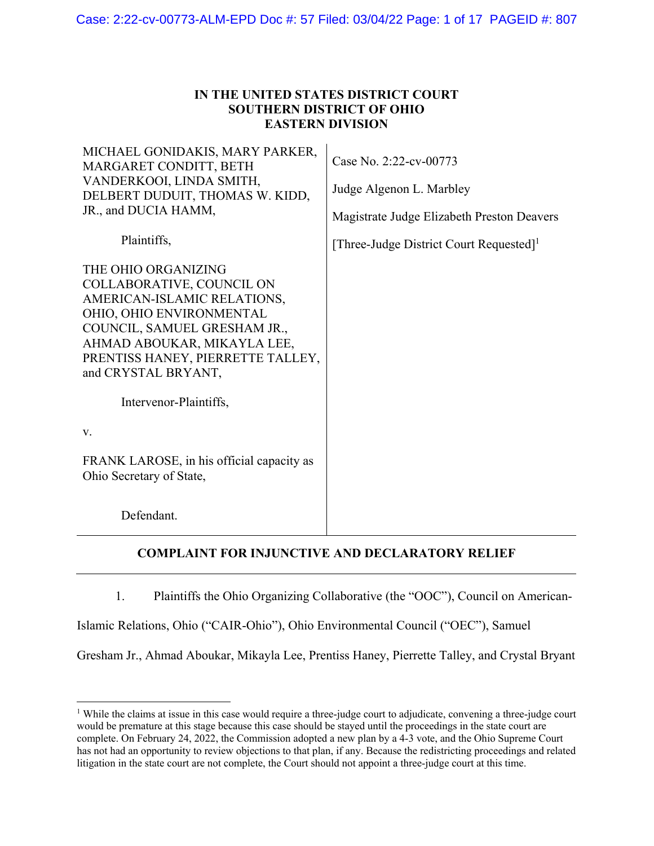## **IN THE UNITED STATES DISTRICT COURT SOUTHERN DISTRICT OF OHIO EASTERN DIVISION**

| MICHAEL GONIDAKIS, MARY PARKER,<br>MARGARET CONDITT, BETH<br>VANDERKOOI, LINDA SMITH,<br>DELBERT DUDUIT, THOMAS W. KIDD,<br>JR., and DUCIA HAMM,                                                                                       | Case No. 2:22-cv-00773<br>Judge Algenon L. Marbley<br>Magistrate Judge Elizabeth Preston Deavers |
|----------------------------------------------------------------------------------------------------------------------------------------------------------------------------------------------------------------------------------------|--------------------------------------------------------------------------------------------------|
| Plaintiffs,                                                                                                                                                                                                                            | [Three-Judge District Court Requested] <sup>1</sup>                                              |
| THE OHIO ORGANIZING<br>COLLABORATIVE, COUNCIL ON<br>AMERICAN-ISLAMIC RELATIONS,<br>OHIO, OHIO ENVIRONMENTAL<br>COUNCIL, SAMUEL GRESHAM JR.,<br>AHMAD ABOUKAR, MIKAYLA LEE,<br>PRENTISS HANEY, PIERRETTE TALLEY,<br>and CRYSTAL BRYANT, |                                                                                                  |
| Intervenor-Plaintiffs,<br>V.                                                                                                                                                                                                           |                                                                                                  |
| FRANK LAROSE, in his official capacity as<br>Ohio Secretary of State,                                                                                                                                                                  |                                                                                                  |
| Defendant.                                                                                                                                                                                                                             |                                                                                                  |

# **COMPLAINT FOR INJUNCTIVE AND DECLARATORY RELIEF**

1. Plaintiffs the Ohio Organizing Collaborative (the "OOC"), Council on American-

Islamic Relations, Ohio ("CAIR-Ohio"), Ohio Environmental Council ("OEC"), Samuel

 $\overline{a}$ 

Gresham Jr., Ahmad Aboukar, Mikayla Lee, Prentiss Haney, Pierrette Talley, and Crystal Bryant

<sup>&</sup>lt;sup>1</sup> While the claims at issue in this case would require a three-judge court to adjudicate, convening a three-judge court would be premature at this stage because this case should be stayed until the proceedings in the state court are complete. On February 24, 2022, the Commission adopted a new plan by a 4-3 vote, and the Ohio Supreme Court has not had an opportunity to review objections to that plan, if any. Because the redistricting proceedings and related litigation in the state court are not complete, the Court should not appoint a three-judge court at this time.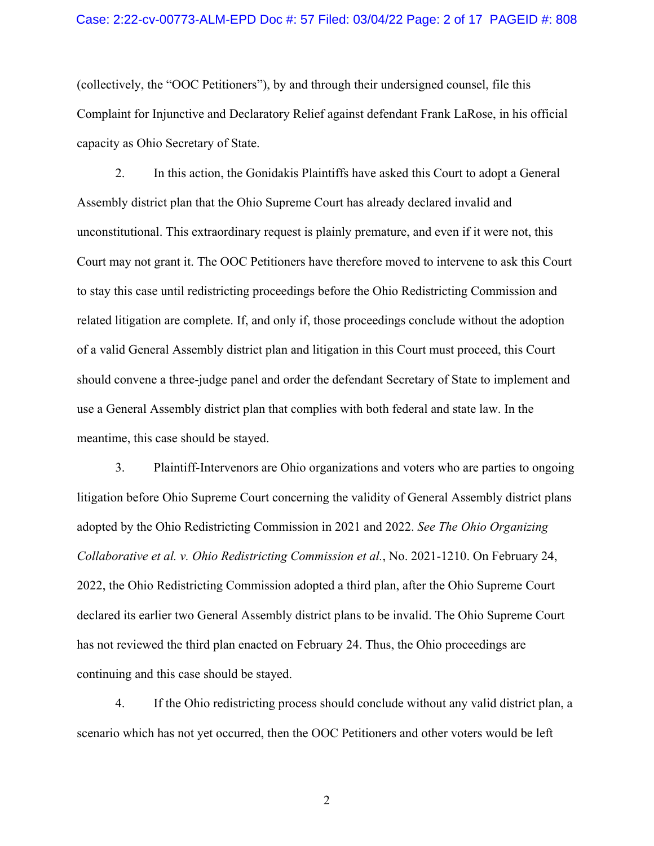### Case: 2:22-cv-00773-ALM-EPD Doc #: 57 Filed: 03/04/22 Page: 2 of 17 PAGEID #: 808

(collectively, the "OOC Petitioners"), by and through their undersigned counsel, file this Complaint for Injunctive and Declaratory Relief against defendant Frank LaRose, in his official capacity as Ohio Secretary of State.

2. In this action, the Gonidakis Plaintiffs have asked this Court to adopt a General Assembly district plan that the Ohio Supreme Court has already declared invalid and unconstitutional. This extraordinary request is plainly premature, and even if it were not, this Court may not grant it. The OOC Petitioners have therefore moved to intervene to ask this Court to stay this case until redistricting proceedings before the Ohio Redistricting Commission and related litigation are complete. If, and only if, those proceedings conclude without the adoption of a valid General Assembly district plan and litigation in this Court must proceed, this Court should convene a three-judge panel and order the defendant Secretary of State to implement and use a General Assembly district plan that complies with both federal and state law. In the meantime, this case should be stayed.

3. Plaintiff-Intervenors are Ohio organizations and voters who are parties to ongoing litigation before Ohio Supreme Court concerning the validity of General Assembly district plans adopted by the Ohio Redistricting Commission in 2021 and 2022. *See The Ohio Organizing Collaborative et al. v. Ohio Redistricting Commission et al.*, No. 2021-1210. On February 24, 2022, the Ohio Redistricting Commission adopted a third plan, after the Ohio Supreme Court declared its earlier two General Assembly district plans to be invalid. The Ohio Supreme Court has not reviewed the third plan enacted on February 24. Thus, the Ohio proceedings are continuing and this case should be stayed.

4. If the Ohio redistricting process should conclude without any valid district plan, a scenario which has not yet occurred, then the OOC Petitioners and other voters would be left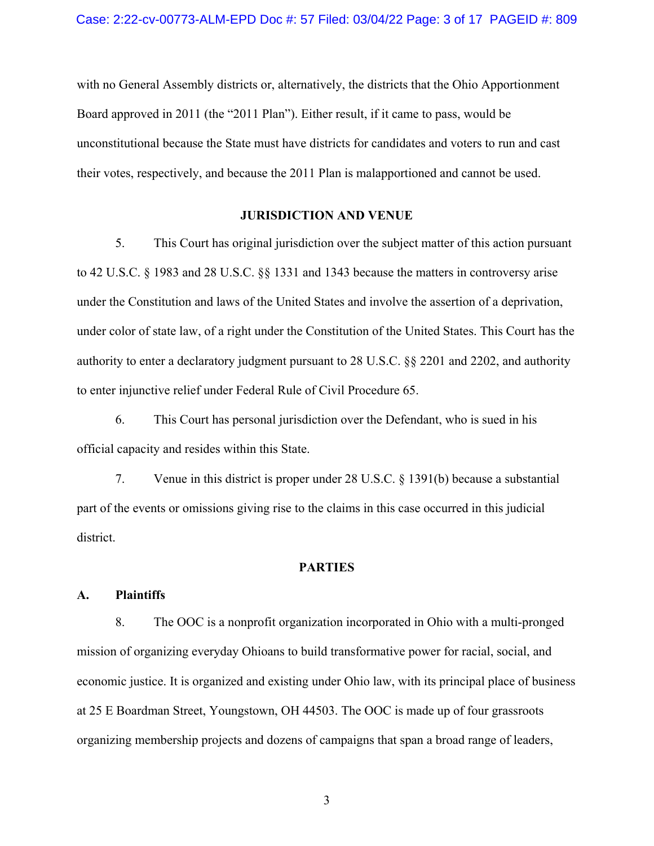with no General Assembly districts or, alternatively, the districts that the Ohio Apportionment Board approved in 2011 (the "2011 Plan"). Either result, if it came to pass, would be unconstitutional because the State must have districts for candidates and voters to run and cast their votes, respectively, and because the 2011 Plan is malapportioned and cannot be used.

### **JURISDICTION AND VENUE**

5. This Court has original jurisdiction over the subject matter of this action pursuant to 42 U.S.C. § 1983 and 28 U.S.C. §§ 1331 and 1343 because the matters in controversy arise under the Constitution and laws of the United States and involve the assertion of a deprivation, under color of state law, of a right under the Constitution of the United States. This Court has the authority to enter a declaratory judgment pursuant to 28 U.S.C. §§ 2201 and 2202, and authority to enter injunctive relief under Federal Rule of Civil Procedure 65.

6. This Court has personal jurisdiction over the Defendant, who is sued in his official capacity and resides within this State.

7. Venue in this district is proper under 28 U.S.C. § 1391(b) because a substantial part of the events or omissions giving rise to the claims in this case occurred in this judicial district.

### **PARTIES**

### **A. Plaintiffs**

8. The OOC is a nonprofit organization incorporated in Ohio with a multi-pronged mission of organizing everyday Ohioans to build transformative power for racial, social, and economic justice. It is organized and existing under Ohio law, with its principal place of business at 25 E Boardman Street, Youngstown, OH 44503. The OOC is made up of four grassroots organizing membership projects and dozens of campaigns that span a broad range of leaders,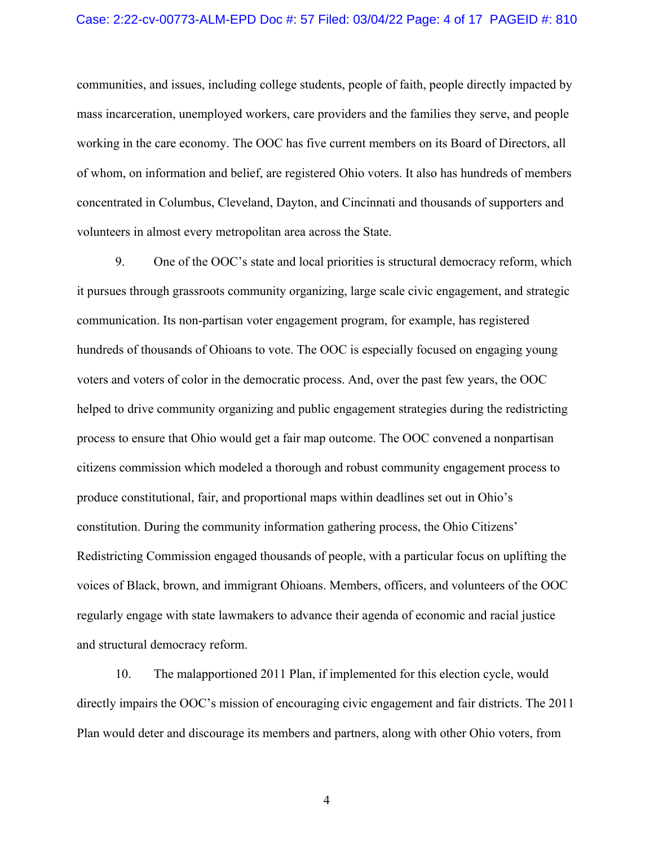### Case: 2:22-cv-00773-ALM-EPD Doc #: 57 Filed: 03/04/22 Page: 4 of 17 PAGEID #: 810

communities, and issues, including college students, people of faith, people directly impacted by mass incarceration, unemployed workers, care providers and the families they serve, and people working in the care economy. The OOC has five current members on its Board of Directors, all of whom, on information and belief, are registered Ohio voters. It also has hundreds of members concentrated in Columbus, Cleveland, Dayton, and Cincinnati and thousands of supporters and volunteers in almost every metropolitan area across the State.

9. One of the OOC's state and local priorities is structural democracy reform, which it pursues through grassroots community organizing, large scale civic engagement, and strategic communication. Its non-partisan voter engagement program, for example, has registered hundreds of thousands of Ohioans to vote. The OOC is especially focused on engaging young voters and voters of color in the democratic process. And, over the past few years, the OOC helped to drive community organizing and public engagement strategies during the redistricting process to ensure that Ohio would get a fair map outcome. The OOC convened a nonpartisan citizens commission which modeled a thorough and robust community engagement process to produce constitutional, fair, and proportional maps within deadlines set out in Ohio's constitution. During the community information gathering process, the Ohio Citizens' Redistricting Commission engaged thousands of people, with a particular focus on uplifting the voices of Black, brown, and immigrant Ohioans. Members, officers, and volunteers of the OOC regularly engage with state lawmakers to advance their agenda of economic and racial justice and structural democracy reform.

10. The malapportioned 2011 Plan, if implemented for this election cycle, would directly impairs the OOC's mission of encouraging civic engagement and fair districts. The 2011 Plan would deter and discourage its members and partners, along with other Ohio voters, from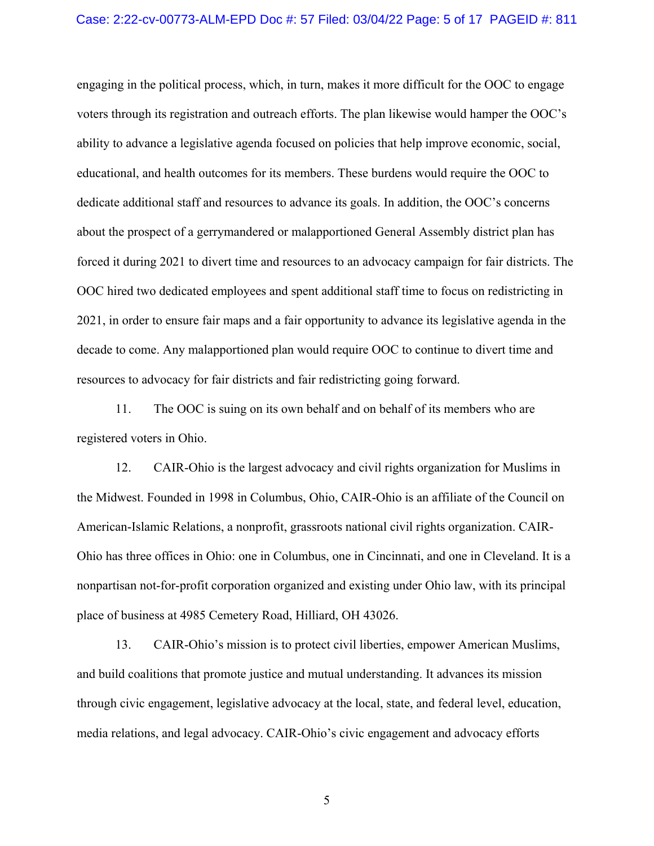engaging in the political process, which, in turn, makes it more difficult for the OOC to engage voters through its registration and outreach efforts. The plan likewise would hamper the OOC's ability to advance a legislative agenda focused on policies that help improve economic, social, educational, and health outcomes for its members. These burdens would require the OOC to dedicate additional staff and resources to advance its goals. In addition, the OOC's concerns about the prospect of a gerrymandered or malapportioned General Assembly district plan has forced it during 2021 to divert time and resources to an advocacy campaign for fair districts. The OOC hired two dedicated employees and spent additional staff time to focus on redistricting in 2021, in order to ensure fair maps and a fair opportunity to advance its legislative agenda in the decade to come. Any malapportioned plan would require OOC to continue to divert time and resources to advocacy for fair districts and fair redistricting going forward.

11. The OOC is suing on its own behalf and on behalf of its members who are registered voters in Ohio.

12. CAIR-Ohio is the largest advocacy and civil rights organization for Muslims in the Midwest. Founded in 1998 in Columbus, Ohio, CAIR-Ohio is an affiliate of the Council on American-Islamic Relations, a nonprofit, grassroots national civil rights organization. CAIR-Ohio has three offices in Ohio: one in Columbus, one in Cincinnati, and one in Cleveland. It is a nonpartisan not-for-profit corporation organized and existing under Ohio law, with its principal place of business at 4985 Cemetery Road, Hilliard, OH 43026.

13. CAIR-Ohio's mission is to protect civil liberties, empower American Muslims, and build coalitions that promote justice and mutual understanding. It advances its mission through civic engagement, legislative advocacy at the local, state, and federal level, education, media relations, and legal advocacy. CAIR-Ohio's civic engagement and advocacy efforts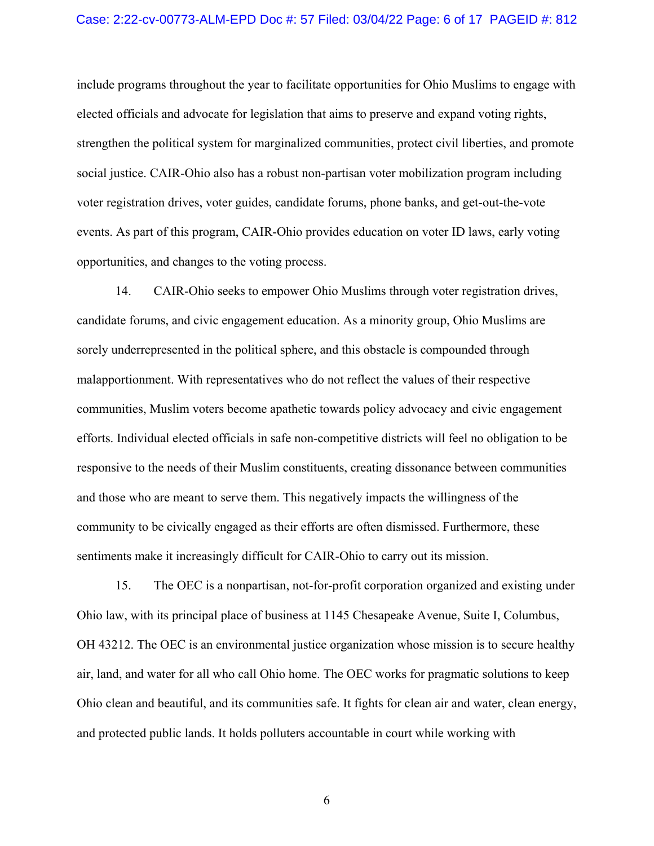### Case: 2:22-cv-00773-ALM-EPD Doc #: 57 Filed: 03/04/22 Page: 6 of 17 PAGEID #: 812

include programs throughout the year to facilitate opportunities for Ohio Muslims to engage with elected officials and advocate for legislation that aims to preserve and expand voting rights, strengthen the political system for marginalized communities, protect civil liberties, and promote social justice. CAIR-Ohio also has a robust non-partisan voter mobilization program including voter registration drives, voter guides, candidate forums, phone banks, and get-out-the-vote events. As part of this program, CAIR-Ohio provides education on voter ID laws, early voting opportunities, and changes to the voting process.

14. CAIR-Ohio seeks to empower Ohio Muslims through voter registration drives, candidate forums, and civic engagement education. As a minority group, Ohio Muslims are sorely underrepresented in the political sphere, and this obstacle is compounded through malapportionment. With representatives who do not reflect the values of their respective communities, Muslim voters become apathetic towards policy advocacy and civic engagement efforts. Individual elected officials in safe non-competitive districts will feel no obligation to be responsive to the needs of their Muslim constituents, creating dissonance between communities and those who are meant to serve them. This negatively impacts the willingness of the community to be civically engaged as their efforts are often dismissed. Furthermore, these sentiments make it increasingly difficult for CAIR-Ohio to carry out its mission.

15. The OEC is a nonpartisan, not-for-profit corporation organized and existing under Ohio law, with its principal place of business at 1145 Chesapeake Avenue, Suite I, Columbus, OH 43212. The OEC is an environmental justice organization whose mission is to secure healthy air, land, and water for all who call Ohio home. The OEC works for pragmatic solutions to keep Ohio clean and beautiful, and its communities safe. It fights for clean air and water, clean energy, and protected public lands. It holds polluters accountable in court while working with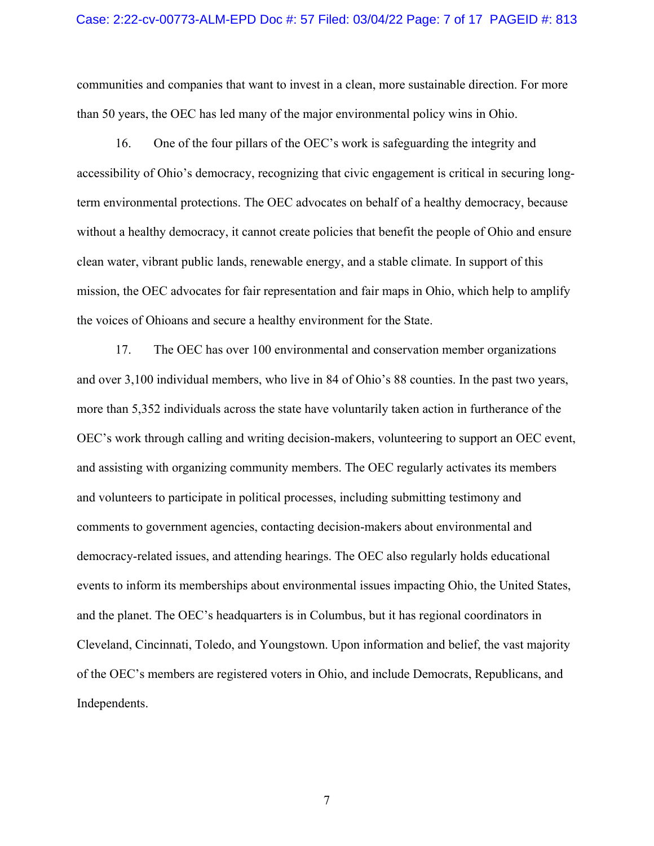communities and companies that want to invest in a clean, more sustainable direction. For more than 50 years, the OEC has led many of the major environmental policy wins in Ohio.

16. One of the four pillars of the OEC's work is safeguarding the integrity and accessibility of Ohio's democracy, recognizing that civic engagement is critical in securing longterm environmental protections. The OEC advocates on behalf of a healthy democracy, because without a healthy democracy, it cannot create policies that benefit the people of Ohio and ensure clean water, vibrant public lands, renewable energy, and a stable climate. In support of this mission, the OEC advocates for fair representation and fair maps in Ohio, which help to amplify the voices of Ohioans and secure a healthy environment for the State.

17. The OEC has over 100 environmental and conservation member organizations and over 3,100 individual members, who live in 84 of Ohio's 88 counties. In the past two years, more than 5,352 individuals across the state have voluntarily taken action in furtherance of the OEC's work through calling and writing decision-makers, volunteering to support an OEC event, and assisting with organizing community members. The OEC regularly activates its members and volunteers to participate in political processes, including submitting testimony and comments to government agencies, contacting decision-makers about environmental and democracy-related issues, and attending hearings. The OEC also regularly holds educational events to inform its memberships about environmental issues impacting Ohio, the United States, and the planet. The OEC's headquarters is in Columbus, but it has regional coordinators in Cleveland, Cincinnati, Toledo, and Youngstown. Upon information and belief, the vast majority of the OEC's members are registered voters in Ohio, and include Democrats, Republicans, and Independents.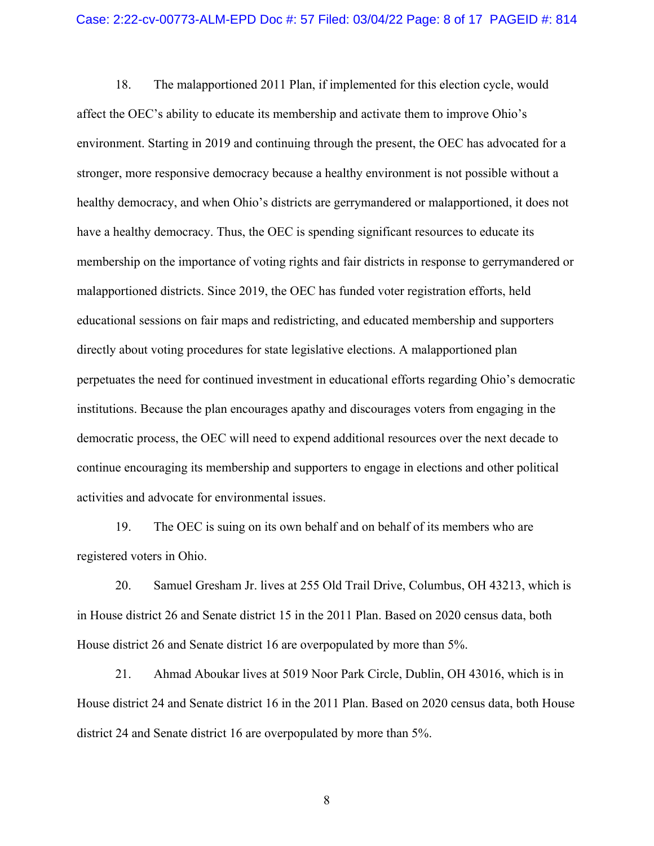18. The malapportioned 2011 Plan, if implemented for this election cycle, would affect the OEC's ability to educate its membership and activate them to improve Ohio's environment. Starting in 2019 and continuing through the present, the OEC has advocated for a stronger, more responsive democracy because a healthy environment is not possible without a healthy democracy, and when Ohio's districts are gerrymandered or malapportioned, it does not have a healthy democracy. Thus, the OEC is spending significant resources to educate its membership on the importance of voting rights and fair districts in response to gerrymandered or malapportioned districts. Since 2019, the OEC has funded voter registration efforts, held educational sessions on fair maps and redistricting, and educated membership and supporters directly about voting procedures for state legislative elections. A malapportioned plan perpetuates the need for continued investment in educational efforts regarding Ohio's democratic institutions. Because the plan encourages apathy and discourages voters from engaging in the democratic process, the OEC will need to expend additional resources over the next decade to continue encouraging its membership and supporters to engage in elections and other political activities and advocate for environmental issues.

19. The OEC is suing on its own behalf and on behalf of its members who are registered voters in Ohio.

20. Samuel Gresham Jr. lives at 255 Old Trail Drive, Columbus, OH 43213, which is in House district 26 and Senate district 15 in the 2011 Plan. Based on 2020 census data, both House district 26 and Senate district 16 are overpopulated by more than 5%.

21. Ahmad Aboukar lives at 5019 Noor Park Circle, Dublin, OH 43016, which is in House district 24 and Senate district 16 in the 2011 Plan. Based on 2020 census data, both House district 24 and Senate district 16 are overpopulated by more than 5%.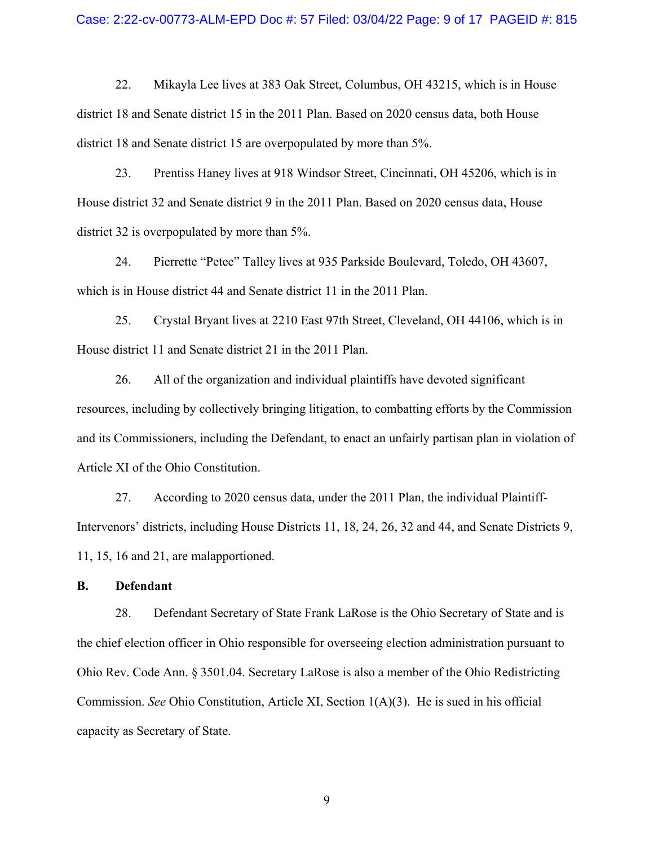### Case: 2:22-cv-00773-ALM-EPD Doc #: 57 Filed: 03/04/22 Page: 9 of 17 PAGEID #: 815

22. Mikayla Lee lives at 383 Oak Street, Columbus, OH 43215, which is in House district 18 and Senate district 15 in the 2011 Plan. Based on 2020 census data, both House district 18 and Senate district 15 are overpopulated by more than 5%.

23. Prentiss Haney lives at 918 Windsor Street, Cincinnati, OH 45206, which is in House district 32 and Senate district 9 in the 2011 Plan. Based on 2020 census data, House district 32 is overpopulated by more than 5%.

24. Pierrette "Petee" Talley lives at 935 Parkside Boulevard, Toledo, OH 43607, which is in House district 44 and Senate district 11 in the 2011 Plan.

25. Crystal Bryant lives at 2210 East 97th Street, Cleveland, OH 44106, which is in House district 11 and Senate district 21 in the 2011 Plan.

26. All of the organization and individual plaintiffs have devoted significant resources, including by collectively bringing litigation, to combatting efforts by the Commission and its Commissioners, including the Defendant, to enact an unfairly partisan plan in violation of Article XI of the Ohio Constitution.

27. According to 2020 census data, under the 2011 Plan, the individual Plaintiff-Intervenors' districts, including House Districts 11, 18, 24, 26, 32 and 44, and Senate Districts 9, 11, 15, 16 and 21, are malapportioned.

### **B. Defendant**

28. Defendant Secretary of State Frank LaRose is the Ohio Secretary of State and is the chief election officer in Ohio responsible for overseeing election administration pursuant to Ohio Rev. Code Ann. § 3501.04. Secretary LaRose is also a member of the Ohio Redistricting Commission. *See* Ohio Constitution, Article XI, Section 1(A)(3). He is sued in his official capacity as Secretary of State.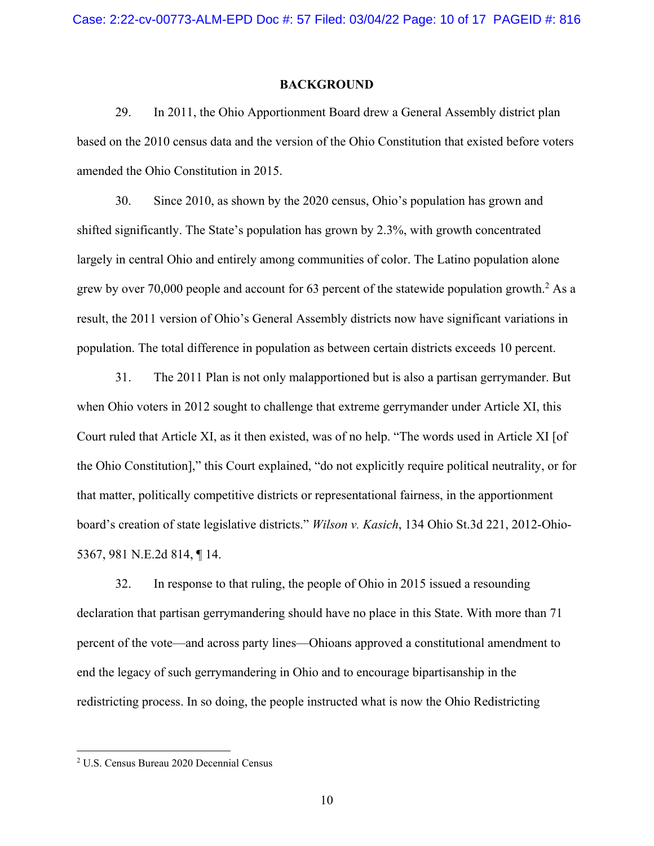### **BACKGROUND**

29. In 2011, the Ohio Apportionment Board drew a General Assembly district plan based on the 2010 census data and the version of the Ohio Constitution that existed before voters amended the Ohio Constitution in 2015.

30. Since 2010, as shown by the 2020 census, Ohio's population has grown and shifted significantly. The State's population has grown by 2.3%, with growth concentrated largely in central Ohio and entirely among communities of color. The Latino population alone grew by over 70,000 people and account for 63 percent of the statewide population growth.<sup>2</sup> As a result, the 2011 version of Ohio's General Assembly districts now have significant variations in population. The total difference in population as between certain districts exceeds 10 percent.

31. The 2011 Plan is not only malapportioned but is also a partisan gerrymander. But when Ohio voters in 2012 sought to challenge that extreme gerrymander under Article XI, this Court ruled that Article XI, as it then existed, was of no help. "The words used in Article XI [of the Ohio Constitution]," this Court explained, "do not explicitly require political neutrality, or for that matter, politically competitive districts or representational fairness, in the apportionment board's creation of state legislative districts." *Wilson v. Kasich*, 134 Ohio St.3d 221, 2012-Ohio-5367, 981 N.E.2d 814, ¶ 14.

32. In response to that ruling, the people of Ohio in 2015 issued a resounding declaration that partisan gerrymandering should have no place in this State. With more than 71 percent of the vote—and across party lines—Ohioans approved a constitutional amendment to end the legacy of such gerrymandering in Ohio and to encourage bipartisanship in the redistricting process. In so doing, the people instructed what is now the Ohio Redistricting

<sup>2</sup> U.S. Census Bureau 2020 Decennial Census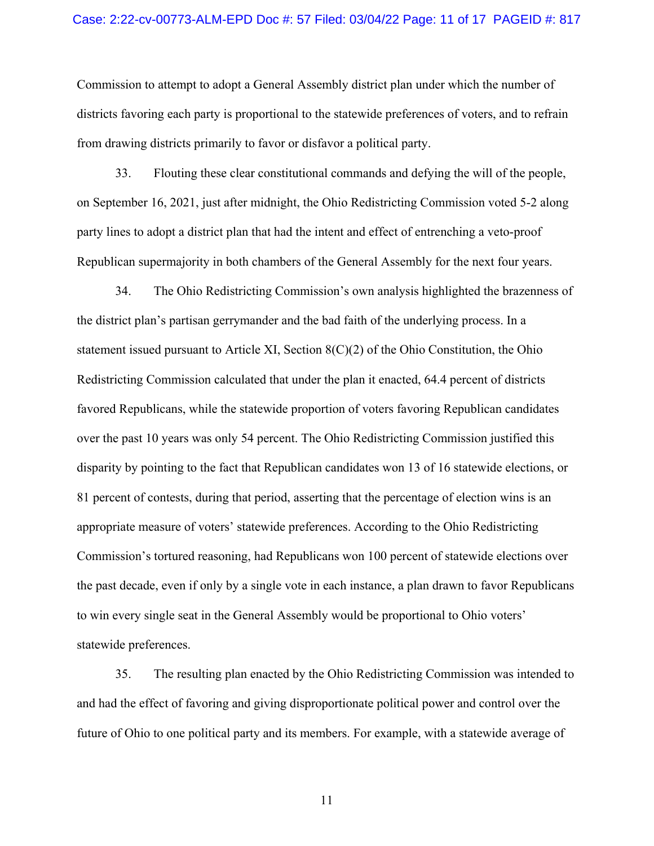### Case: 2:22-cv-00773-ALM-EPD Doc #: 57 Filed: 03/04/22 Page: 11 of 17 PAGEID #: 817

Commission to attempt to adopt a General Assembly district plan under which the number of districts favoring each party is proportional to the statewide preferences of voters, and to refrain from drawing districts primarily to favor or disfavor a political party.

33. Flouting these clear constitutional commands and defying the will of the people, on September 16, 2021, just after midnight, the Ohio Redistricting Commission voted 5-2 along party lines to adopt a district plan that had the intent and effect of entrenching a veto-proof Republican supermajority in both chambers of the General Assembly for the next four years.

34. The Ohio Redistricting Commission's own analysis highlighted the brazenness of the district plan's partisan gerrymander and the bad faith of the underlying process. In a statement issued pursuant to Article XI, Section 8(C)(2) of the Ohio Constitution, the Ohio Redistricting Commission calculated that under the plan it enacted, 64.4 percent of districts favored Republicans, while the statewide proportion of voters favoring Republican candidates over the past 10 years was only 54 percent. The Ohio Redistricting Commission justified this disparity by pointing to the fact that Republican candidates won 13 of 16 statewide elections, or 81 percent of contests, during that period, asserting that the percentage of election wins is an appropriate measure of voters' statewide preferences. According to the Ohio Redistricting Commission's tortured reasoning, had Republicans won 100 percent of statewide elections over the past decade, even if only by a single vote in each instance, a plan drawn to favor Republicans to win every single seat in the General Assembly would be proportional to Ohio voters' statewide preferences.

35. The resulting plan enacted by the Ohio Redistricting Commission was intended to and had the effect of favoring and giving disproportionate political power and control over the future of Ohio to one political party and its members. For example, with a statewide average of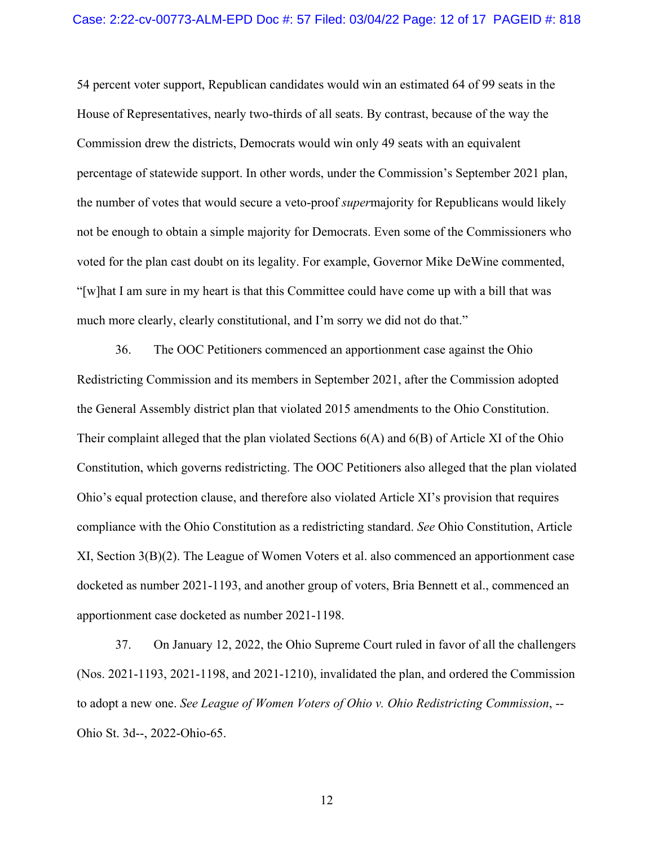54 percent voter support, Republican candidates would win an estimated 64 of 99 seats in the House of Representatives, nearly two-thirds of all seats. By contrast, because of the way the Commission drew the districts, Democrats would win only 49 seats with an equivalent percentage of statewide support. In other words, under the Commission's September 2021 plan, the number of votes that would secure a veto-proof *super*majority for Republicans would likely not be enough to obtain a simple majority for Democrats. Even some of the Commissioners who voted for the plan cast doubt on its legality. For example, Governor Mike DeWine commented, "[w]hat I am sure in my heart is that this Committee could have come up with a bill that was much more clearly, clearly constitutional, and I'm sorry we did not do that."

36. The OOC Petitioners commenced an apportionment case against the Ohio Redistricting Commission and its members in September 2021, after the Commission adopted the General Assembly district plan that violated 2015 amendments to the Ohio Constitution. Their complaint alleged that the plan violated Sections 6(A) and 6(B) of Article XI of the Ohio Constitution, which governs redistricting. The OOC Petitioners also alleged that the plan violated Ohio's equal protection clause, and therefore also violated Article XI's provision that requires compliance with the Ohio Constitution as a redistricting standard. *See* Ohio Constitution, Article XI, Section 3(B)(2). The League of Women Voters et al. also commenced an apportionment case docketed as number 2021-1193, and another group of voters, Bria Bennett et al., commenced an apportionment case docketed as number 2021-1198.

37. On January 12, 2022, the Ohio Supreme Court ruled in favor of all the challengers (Nos. 2021-1193, 2021-1198, and 2021-1210), invalidated the plan, and ordered the Commission to adopt a new one. *See League of Women Voters of Ohio v. Ohio Redistricting Commission*, -- Ohio St. 3d--, 2022-Ohio-65.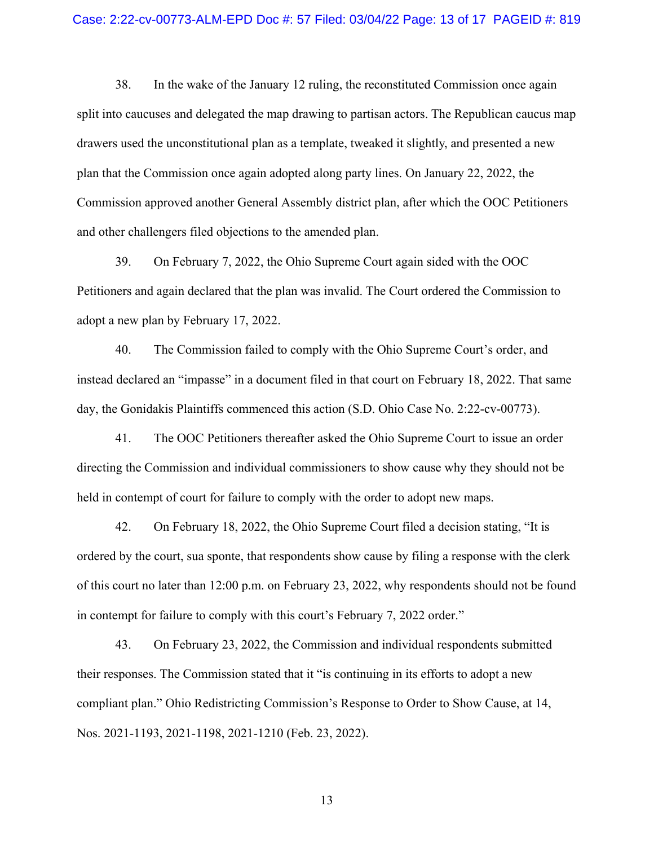#### Case: 2:22-cv-00773-ALM-EPD Doc #: 57 Filed: 03/04/22 Page: 13 of 17 PAGEID #: 819

38. In the wake of the January 12 ruling, the reconstituted Commission once again split into caucuses and delegated the map drawing to partisan actors. The Republican caucus map drawers used the unconstitutional plan as a template, tweaked it slightly, and presented a new plan that the Commission once again adopted along party lines. On January 22, 2022, the Commission approved another General Assembly district plan, after which the OOC Petitioners and other challengers filed objections to the amended plan.

39. On February 7, 2022, the Ohio Supreme Court again sided with the OOC Petitioners and again declared that the plan was invalid. The Court ordered the Commission to adopt a new plan by February 17, 2022.

40. The Commission failed to comply with the Ohio Supreme Court's order, and instead declared an "impasse" in a document filed in that court on February 18, 2022. That same day, the Gonidakis Plaintiffs commenced this action (S.D. Ohio Case No. 2:22-cv-00773).

41. The OOC Petitioners thereafter asked the Ohio Supreme Court to issue an order directing the Commission and individual commissioners to show cause why they should not be held in contempt of court for failure to comply with the order to adopt new maps.

42. On February 18, 2022, the Ohio Supreme Court filed a decision stating, "It is ordered by the court, sua sponte, that respondents show cause by filing a response with the clerk of this court no later than 12:00 p.m. on February 23, 2022, why respondents should not be found in contempt for failure to comply with this court's February 7, 2022 order."

43. On February 23, 2022, the Commission and individual respondents submitted their responses. The Commission stated that it "is continuing in its efforts to adopt a new compliant plan." Ohio Redistricting Commission's Response to Order to Show Cause, at 14, Nos. 2021-1193, 2021-1198, 2021-1210 (Feb. 23, 2022).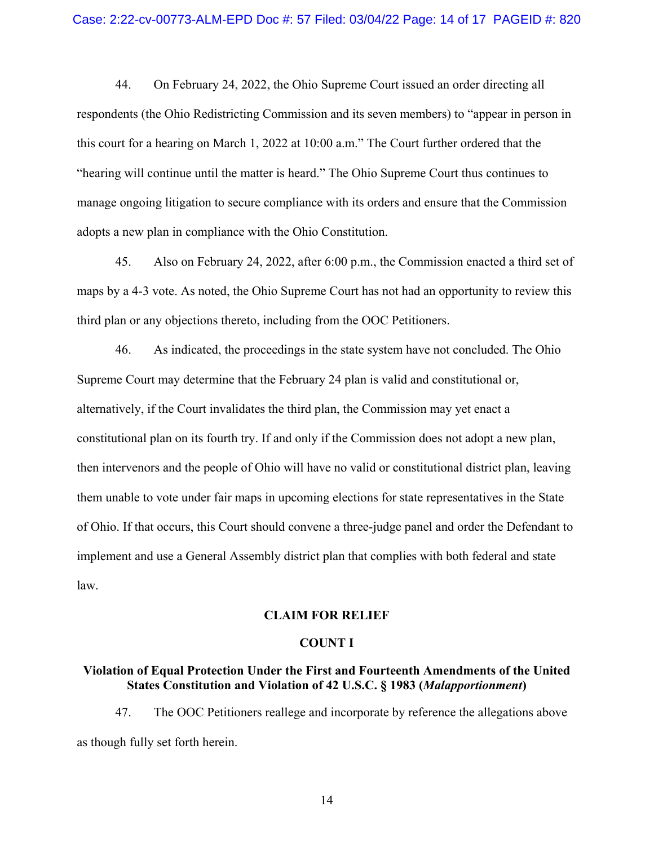44. On February 24, 2022, the Ohio Supreme Court issued an order directing all respondents (the Ohio Redistricting Commission and its seven members) to "appear in person in this court for a hearing on March 1, 2022 at 10:00 a.m." The Court further ordered that the "hearing will continue until the matter is heard." The Ohio Supreme Court thus continues to manage ongoing litigation to secure compliance with its orders and ensure that the Commission adopts a new plan in compliance with the Ohio Constitution.

45. Also on February 24, 2022, after 6:00 p.m., the Commission enacted a third set of maps by a 4-3 vote. As noted, the Ohio Supreme Court has not had an opportunity to review this third plan or any objections thereto, including from the OOC Petitioners.

46. As indicated, the proceedings in the state system have not concluded. The Ohio Supreme Court may determine that the February 24 plan is valid and constitutional or, alternatively, if the Court invalidates the third plan, the Commission may yet enact a constitutional plan on its fourth try. If and only if the Commission does not adopt a new plan, then intervenors and the people of Ohio will have no valid or constitutional district plan, leaving them unable to vote under fair maps in upcoming elections for state representatives in the State of Ohio. If that occurs, this Court should convene a three-judge panel and order the Defendant to implement and use a General Assembly district plan that complies with both federal and state law.

### **CLAIM FOR RELIEF**

#### **COUNT I**

## **Violation of Equal Protection Under the First and Fourteenth Amendments of the United States Constitution and Violation of 42 U.S.C. § 1983 (***Malapportionment***)**

47. The OOC Petitioners reallege and incorporate by reference the allegations above as though fully set forth herein.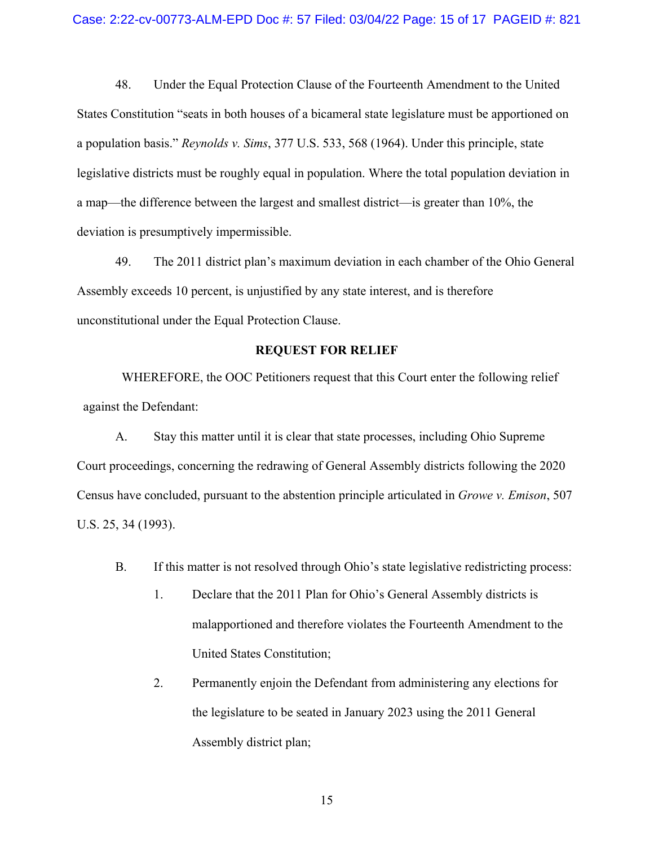48. Under the Equal Protection Clause of the Fourteenth Amendment to the United States Constitution "seats in both houses of a bicameral state legislature must be apportioned on a population basis." *Reynolds v. Sims*, 377 U.S. 533, 568 (1964). Under this principle, state legislative districts must be roughly equal in population. Where the total population deviation in a map—the difference between the largest and smallest district—is greater than 10%, the deviation is presumptively impermissible.

49. The 2011 district plan's maximum deviation in each chamber of the Ohio General Assembly exceeds 10 percent, is unjustified by any state interest, and is therefore unconstitutional under the Equal Protection Clause.

### **REQUEST FOR RELIEF**

WHEREFORE, the OOC Petitioners request that this Court enter the following relief against the Defendant:

A. Stay this matter until it is clear that state processes, including Ohio Supreme Court proceedings, concerning the redrawing of General Assembly districts following the 2020 Census have concluded, pursuant to the abstention principle articulated in *Growe v. Emison*, 507 U.S. 25, 34 (1993).

- B. If this matter is not resolved through Ohio's state legislative redistricting process:
	- 1. Declare that the 2011 Plan for Ohio's General Assembly districts is malapportioned and therefore violates the Fourteenth Amendment to the United States Constitution;
	- 2. Permanently enjoin the Defendant from administering any elections for the legislature to be seated in January 2023 using the 2011 General Assembly district plan;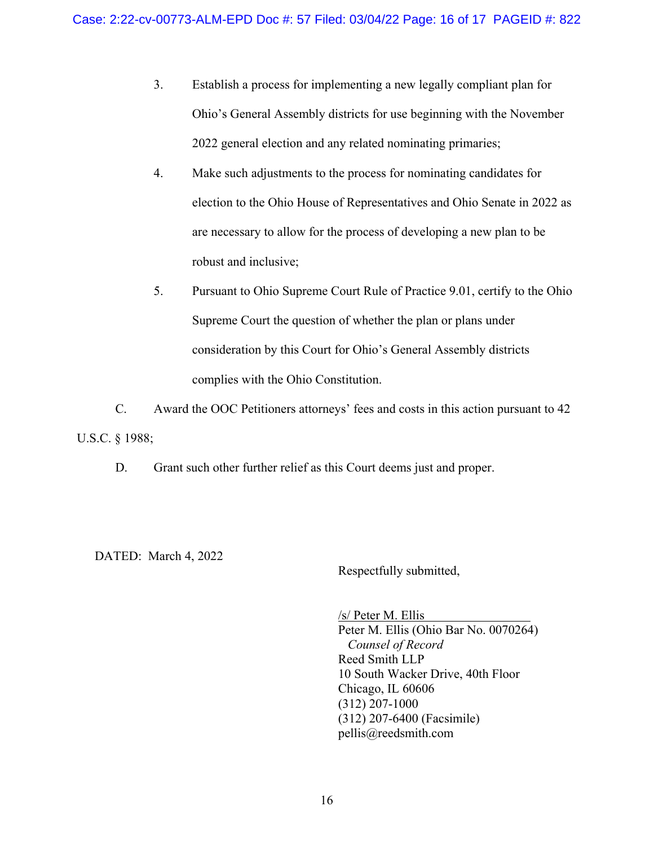- 3. Establish a process for implementing a new legally compliant plan for Ohio's General Assembly districts for use beginning with the November 2022 general election and any related nominating primaries;
- 4. Make such adjustments to the process for nominating candidates for election to the Ohio House of Representatives and Ohio Senate in 2022 as are necessary to allow for the process of developing a new plan to be robust and inclusive;
- 5. Pursuant to Ohio Supreme Court Rule of Practice 9.01, certify to the Ohio Supreme Court the question of whether the plan or plans under consideration by this Court for Ohio's General Assembly districts complies with the Ohio Constitution.

C. Award the OOC Petitioners attorneys' fees and costs in this action pursuant to 42 U.S.C. § 1988;

D. Grant such other further relief as this Court deems just and proper.

DATED: March 4, 2022

Respectfully submitted,

/s/ Peter M. Ellis Peter M. Ellis (Ohio Bar No. 0070264)  *Counsel of Record* Reed Smith LLP 10 South Wacker Drive, 40th Floor Chicago, IL 60606 (312) 207-1000 (312) 207-6400 (Facsimile) pellis@reedsmith.com